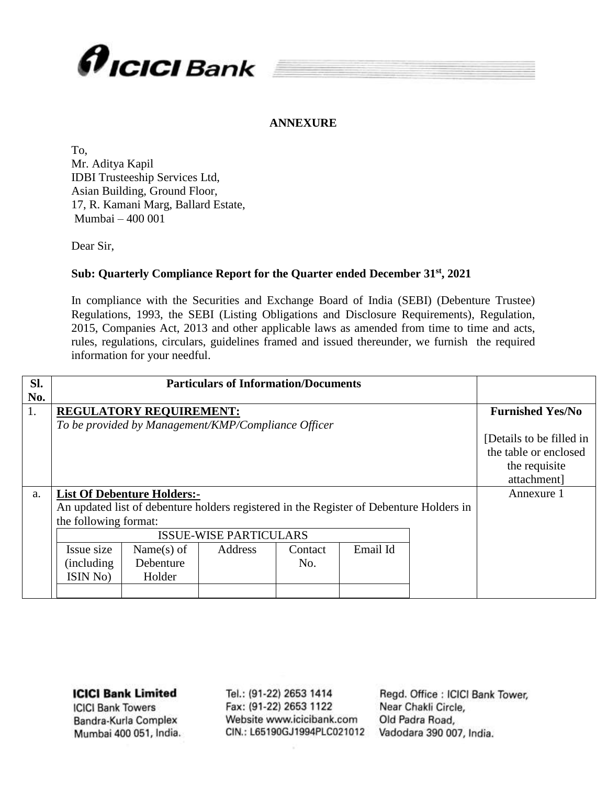

### **ANNEXURE**

To, Mr. Aditya Kapil IDBI Trusteeship Services Ltd, Asian Building, Ground Floor, 17, R. Kamani Marg, Ballard Estate, Mumbai – 400 001

Dear Sir,

### **Sub: Quarterly Compliance Report for the Quarter ended December 31st , 2021**

In compliance with the Securities and Exchange Board of India (SEBI) (Debenture Trustee) Regulations, 1993, the SEBI (Listing Obligations and Disclosure Requirements), Regulation, 2015, Companies Act, 2013 and other applicable laws as amended from time to time and acts, rules, regulations, circulars, guidelines framed and issued thereunder, we furnish the required information for your needful.

| SI.       |                                    |                                                                                         | <b>Particulars of Information/Documents</b> |         |          |  |                         |  |  |  |  |
|-----------|------------------------------------|-----------------------------------------------------------------------------------------|---------------------------------------------|---------|----------|--|-------------------------|--|--|--|--|
| No.<br>1. |                                    | <b>REGULATORY REQUIREMENT:</b>                                                          |                                             |         |          |  | <b>Furnished Yes/No</b> |  |  |  |  |
|           |                                    | To be provided by Management/KMP/Compliance Officer                                     |                                             |         |          |  |                         |  |  |  |  |
| a.        | <b>List Of Debenture Holders:-</b> | Annexure 1                                                                              |                                             |         |          |  |                         |  |  |  |  |
|           |                                    | An updated list of debenture holders registered in the Register of Debenture Holders in |                                             |         |          |  |                         |  |  |  |  |
|           | the following format:              |                                                                                         |                                             |         |          |  |                         |  |  |  |  |
|           |                                    |                                                                                         | <b>ISSUE-WISE PARTICULARS</b>               |         |          |  |                         |  |  |  |  |
|           | Issue size                         | Name $(s)$ of                                                                           | Address                                     | Contact | Email Id |  |                         |  |  |  |  |
|           | (including)                        | Debenture                                                                               |                                             | No.     |          |  |                         |  |  |  |  |
|           | ISIN No)                           | Holder                                                                                  |                                             |         |          |  |                         |  |  |  |  |
|           |                                    |                                                                                         |                                             |         |          |  |                         |  |  |  |  |

**ICICI Bank Limited** 

**ICICI Bank Towers** Bandra-Kurla Complex Mumbai 400 051, India.

Tel.: (91-22) 2653 1414 Fax: (91-22) 2653 1122 Website www.icicibank.com CIN.: L65190GJ1994PLC021012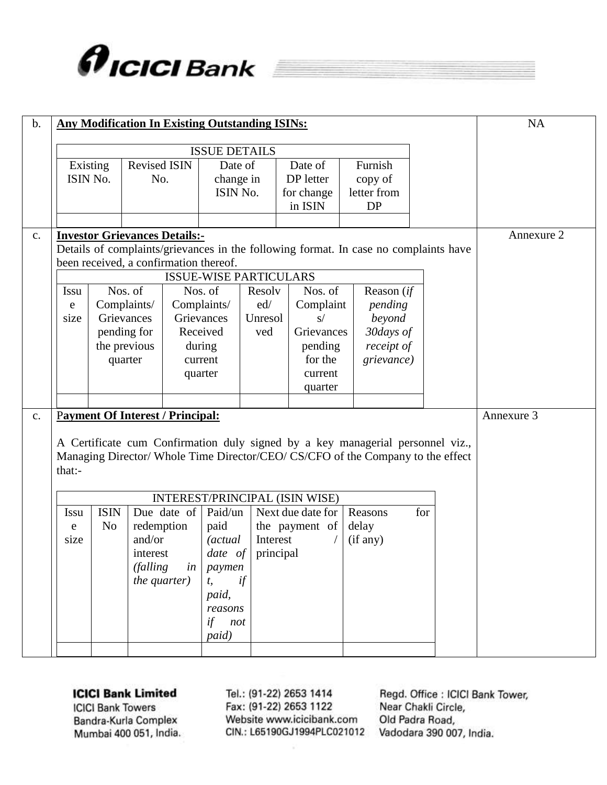

| $b$ . |                                                                         |                                                                                      |                                         |             | <b>Any Modification In Existing Outstanding ISINs:</b> |                          |                                |            |                                                                                                                                                                 |     |  | <b>NA</b>  |
|-------|-------------------------------------------------------------------------|--------------------------------------------------------------------------------------|-----------------------------------------|-------------|--------------------------------------------------------|--------------------------|--------------------------------|------------|-----------------------------------------------------------------------------------------------------------------------------------------------------------------|-----|--|------------|
|       |                                                                         |                                                                                      |                                         |             | <b>ISSUE DETAILS</b>                                   |                          |                                |            |                                                                                                                                                                 |     |  |            |
|       |                                                                         | Existing                                                                             | <b>Revised ISIN</b>                     |             | Date of                                                |                          | Date of                        |            | Furnish                                                                                                                                                         |     |  |            |
|       | ISIN No.                                                                |                                                                                      | No.                                     |             | change in                                              |                          | DP letter                      |            | copy of                                                                                                                                                         |     |  |            |
|       |                                                                         |                                                                                      |                                         |             | ISIN No.                                               |                          | for change                     |            | letter from                                                                                                                                                     |     |  |            |
|       |                                                                         |                                                                                      |                                         |             |                                                        |                          | in ISIN                        |            | <b>DP</b>                                                                                                                                                       |     |  |            |
|       |                                                                         |                                                                                      |                                         |             |                                                        |                          |                                |            |                                                                                                                                                                 |     |  |            |
| c.    |                                                                         |                                                                                      | <b>Investor Grievances Details:-</b>    |             |                                                        |                          |                                |            |                                                                                                                                                                 |     |  | Annexure 2 |
|       |                                                                         | Details of complaints/grievances in the following format. In case no complaints have |                                         |             |                                                        |                          |                                |            |                                                                                                                                                                 |     |  |            |
|       | been received, a confirmation thereof.<br><b>ISSUE-WISE PARTICULARS</b> |                                                                                      |                                         |             |                                                        |                          |                                |            |                                                                                                                                                                 |     |  |            |
|       | Nos. of<br>Nos. of<br>Reason (if<br>Nos. of<br>Resolv<br><b>Issu</b>    |                                                                                      |                                         |             |                                                        |                          |                                |            |                                                                                                                                                                 |     |  |            |
|       | e                                                                       |                                                                                      |                                         |             | Complaints/                                            | ed/                      | Complaint                      |            | pending                                                                                                                                                         |     |  |            |
|       | Complaints/<br>Grievances<br>size<br>pending for                        |                                                                                      |                                         |             | Grievances                                             | Unresol                  | S/                             |            | beyond                                                                                                                                                          |     |  |            |
|       |                                                                         |                                                                                      |                                         |             | Received                                               | ved                      | Grievances                     |            | 30days of                                                                                                                                                       |     |  |            |
|       | the previous<br>quarter                                                 |                                                                                      |                                         |             | during                                                 |                          | pending                        |            | receipt of                                                                                                                                                      |     |  |            |
|       |                                                                         |                                                                                      |                                         | current     |                                                        | for the                  |                                | grievance) |                                                                                                                                                                 |     |  |            |
|       |                                                                         |                                                                                      |                                         |             | quarter                                                |                          | current                        |            |                                                                                                                                                                 |     |  |            |
|       |                                                                         |                                                                                      |                                         |             |                                                        |                          | quarter                        |            |                                                                                                                                                                 |     |  |            |
|       |                                                                         |                                                                                      |                                         |             |                                                        |                          |                                |            |                                                                                                                                                                 |     |  |            |
| c.    |                                                                         |                                                                                      | <b>Payment Of Interest / Principal:</b> |             |                                                        |                          |                                |            |                                                                                                                                                                 |     |  | Annexure 3 |
|       |                                                                         |                                                                                      |                                         |             |                                                        |                          |                                |            |                                                                                                                                                                 |     |  |            |
|       |                                                                         |                                                                                      |                                         |             |                                                        |                          |                                |            | A Certificate cum Confirmation duly signed by a key managerial personnel viz.,<br>Managing Director/Whole Time Director/CEO/CS/CFO of the Company to the effect |     |  |            |
|       | that:-                                                                  |                                                                                      |                                         |             |                                                        |                          |                                |            |                                                                                                                                                                 |     |  |            |
|       |                                                                         |                                                                                      |                                         |             |                                                        |                          |                                |            |                                                                                                                                                                 |     |  |            |
|       |                                                                         |                                                                                      |                                         |             |                                                        |                          | INTEREST/PRINCIPAL (ISIN WISE) |            |                                                                                                                                                                 |     |  |            |
|       | <b>Issu</b>                                                             | <b>ISIN</b>                                                                          |                                         | Due date of | Paid/un                                                |                          | Next due date for              |            | Reasons                                                                                                                                                         | for |  |            |
|       | e                                                                       | N <sub>o</sub>                                                                       | redemption                              |             | paid                                                   |                          | the payment of                 |            | delay                                                                                                                                                           |     |  |            |
|       | size                                                                    |                                                                                      | and/or                                  |             | <i>(actual)</i>                                        | Interest                 |                                |            | (if any)                                                                                                                                                        |     |  |            |
|       |                                                                         |                                                                                      | interest                                |             |                                                        | <i>date of</i> principal |                                |            |                                                                                                                                                                 |     |  |            |
|       |                                                                         |                                                                                      | <i>(falling</i>                         |             | <i>in</i>   paymen                                     |                          |                                |            |                                                                                                                                                                 |     |  |            |
|       | the quarter)<br>t,                                                      |                                                                                      |                                         |             |                                                        | if                       |                                |            |                                                                                                                                                                 |     |  |            |
|       |                                                                         |                                                                                      |                                         |             | paid,                                                  |                          |                                |            |                                                                                                                                                                 |     |  |            |
|       |                                                                         |                                                                                      |                                         |             | reasons                                                |                          |                                |            |                                                                                                                                                                 |     |  |            |
|       |                                                                         |                                                                                      |                                         |             | if not                                                 |                          |                                |            |                                                                                                                                                                 |     |  |            |
|       |                                                                         |                                                                                      |                                         |             | paid)                                                  |                          |                                |            |                                                                                                                                                                 |     |  |            |
|       |                                                                         |                                                                                      |                                         |             |                                                        |                          |                                |            |                                                                                                                                                                 |     |  |            |

**ICICI Bank Towers** Bandra-Kurla Complex Mumbai 400 051, India. Tel.: (91-22) 2653 1414 Fax: (91-22) 2653 1122 Website www.icicibank.com CIN.: L65190GJ1994PLC021012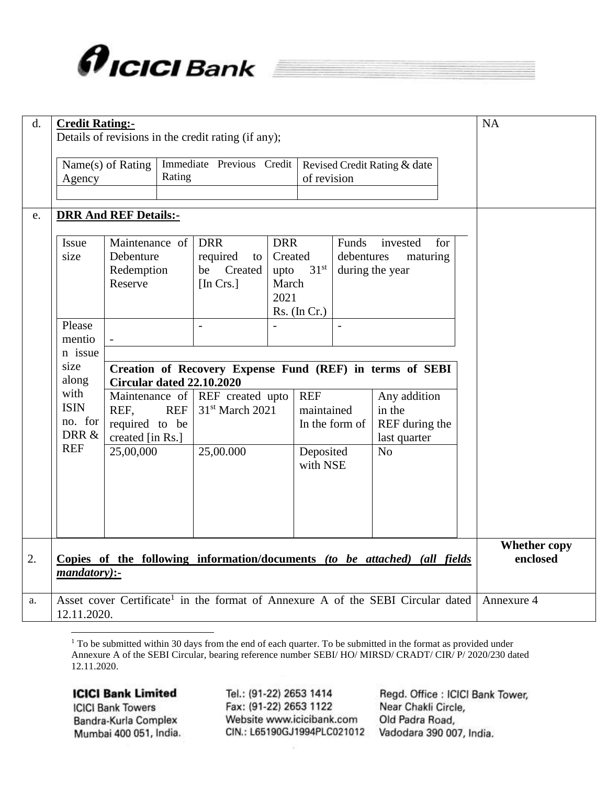

| d. | <b>Credit Rating:-</b>                                                                       |                                                                                              |        | Details of revisions in the credit rating (if any);                                         |                                                |                       |                                                                                                             |                |                                 | NA         |  |  |
|----|----------------------------------------------------------------------------------------------|----------------------------------------------------------------------------------------------|--------|---------------------------------------------------------------------------------------------|------------------------------------------------|-----------------------|-------------------------------------------------------------------------------------------------------------|----------------|---------------------------------|------------|--|--|
|    | Agency                                                                                       | Name(s) of Rating                                                                            | Rating | Immediate Previous Credit                                                                   | Revised Credit Rating & date<br>of revision    |                       |                                                                                                             |                |                                 |            |  |  |
| e. |                                                                                              | <b>DRR And REF Details:-</b>                                                                 |        |                                                                                             |                                                |                       |                                                                                                             |                |                                 |            |  |  |
|    | Issue<br>size                                                                                | Maintenance of<br>Debenture<br>Redemption<br>Reserve                                         |        | <b>DRR</b><br>required<br>to<br>Created<br>be<br>[In Crs.]                                  | <b>DRR</b><br>Created<br>upto<br>March<br>2021 |                       | for<br>Funds<br>invested<br>debentures<br>maturing<br>31 <sup>st</sup><br>during the year<br>$Rs.$ (In Cr.) |                |                                 |            |  |  |
|    | Please<br>mentio<br>n issue                                                                  | $\sim$                                                                                       |        | $\overline{a}$                                                                              |                                                |                       |                                                                                                             |                |                                 |            |  |  |
|    | size<br>along                                                                                | Creation of Recovery Expense Fund (REF) in terms of SEBI<br><b>Circular dated 22.10.2020</b> |        |                                                                                             |                                                |                       |                                                                                                             |                |                                 |            |  |  |
|    | with<br><b>ISIN</b><br>no. for<br>DRR &                                                      | Maintenance of<br><b>REF</b><br>REF.<br>required to be<br>created [in Rs.]                   |        | REF created upto<br>31 <sup>st</sup> March 2021                                             |                                                | <b>REF</b>            | Any addition<br>maintained<br>in the<br>REF during the<br>In the form of<br>last quarter                    |                |                                 |            |  |  |
|    | <b>REF</b>                                                                                   | 25,00,000                                                                                    |        | 25,00.000                                                                                   |                                                | Deposited<br>with NSE |                                                                                                             | N <sub>o</sub> |                                 |            |  |  |
|    |                                                                                              |                                                                                              |        |                                                                                             |                                                |                       |                                                                                                             |                |                                 |            |  |  |
| 2. | Copies of the following information/documents (to be attached) (all fields<br>$mandatory$ :- |                                                                                              |        |                                                                                             |                                                |                       |                                                                                                             |                | <b>Whether copy</b><br>enclosed |            |  |  |
| a. | 12.11.2020.                                                                                  |                                                                                              |        | Asset cover Certificate <sup>1</sup> in the format of Annexure A of the SEBI Circular dated |                                                |                       |                                                                                                             |                |                                 | Annexure 4 |  |  |

 $1$  To be submitted within 30 days from the end of each quarter. To be submitted in the format as provided under Annexure A of the SEBI Circular, bearing reference number SEBI/HO/MIRSD/CRADT/CIR/P/2020/230 dated 12.11.2020.

## **ICICI Bank Limited**

**ICICI Bank Towers** Bandra-Kurla Complex Mumbai 400 051, India.

Tel.: (91-22) 2653 1414 Fax: (91-22) 2653 1122 Website www.icicibank.com CIN.: L65190GJ1994PLC021012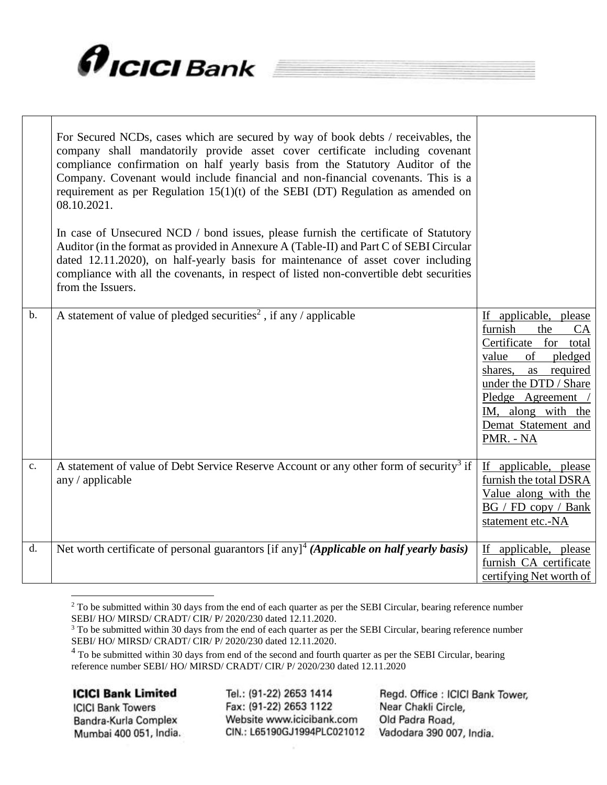

|                | For Secured NCDs, cases which are secured by way of book debts / receivables, the<br>company shall mandatorily provide asset cover certificate including covenant<br>compliance confirmation on half yearly basis from the Statutory Auditor of the<br>Company. Covenant would include financial and non-financial covenants. This is a<br>requirement as per Regulation $15(1)(t)$ of the SEBI (DT) Regulation as amended on<br>08.10.2021.<br>In case of Unsecured NCD / bond issues, please furnish the certificate of Statutory<br>Auditor (in the format as provided in Annexure A (Table-II) and Part C of SEBI Circular<br>dated 12.11.2020), on half-yearly basis for maintenance of asset cover including<br>compliance with all the covenants, in respect of listed non-convertible debt securities<br>from the Issuers. |                                                                                                                                                                                                                                                   |
|----------------|------------------------------------------------------------------------------------------------------------------------------------------------------------------------------------------------------------------------------------------------------------------------------------------------------------------------------------------------------------------------------------------------------------------------------------------------------------------------------------------------------------------------------------------------------------------------------------------------------------------------------------------------------------------------------------------------------------------------------------------------------------------------------------------------------------------------------------|---------------------------------------------------------------------------------------------------------------------------------------------------------------------------------------------------------------------------------------------------|
| $b$ .          | A statement of value of pledged securities <sup>2</sup> , if any / applicable                                                                                                                                                                                                                                                                                                                                                                                                                                                                                                                                                                                                                                                                                                                                                      | applicable, please<br>If<br>furnish<br>the<br><b>CA</b><br>Certificate<br>for<br>total<br>of<br>value<br>pledged<br>shares,<br>as required<br>under the DTD / Share<br>Pledge Agreement<br>IM, along with the<br>Demat Statement and<br>PMR. - NA |
| $\mathbf{c}$ . | A statement of value of Debt Service Reserve Account or any other form of security <sup>3</sup> if<br>any / applicable                                                                                                                                                                                                                                                                                                                                                                                                                                                                                                                                                                                                                                                                                                             | If applicable, please<br>furnish the total DSRA<br>Value along with the<br>$BG / FD$ copy / Bank<br>statement etc.-NA                                                                                                                             |
| d.             | Net worth certificate of personal guarantors [if any] <sup>4</sup> (Applicable on half yearly basis)                                                                                                                                                                                                                                                                                                                                                                                                                                                                                                                                                                                                                                                                                                                               | If applicable, please<br>furnish CA certificate<br>certifying Net worth of                                                                                                                                                                        |

 $2$  To be submitted within 30 days from the end of each quarter as per the SEBI Circular, bearing reference number SEBI/ HO/ MIRSD/ CRADT/ CIR/ P/ 2020/230 dated 12.11.2020.

 $\overline{a}$ 

**ICICI Bank Towers** Bandra-Kurla Complex Mumbai 400 051, India.

Tel.: (91-22) 2653 1414 Fax: (91-22) 2653 1122 Website www.icicibank.com CIN.: L65190GJ1994PLC021012

 $3$  To be submitted within 30 days from the end of each quarter as per the SEBI Circular, bearing reference number SEBI/ HO/ MIRSD/ CRADT/ CIR/ P/ 2020/230 dated 12.11.2020.

<sup>&</sup>lt;sup>4</sup> To be submitted within 30 days from end of the second and fourth quarter as per the SEBI Circular, bearing reference number SEBI/ HO/ MIRSD/ CRADT/ CIR/ P/ 2020/230 dated 12.11.2020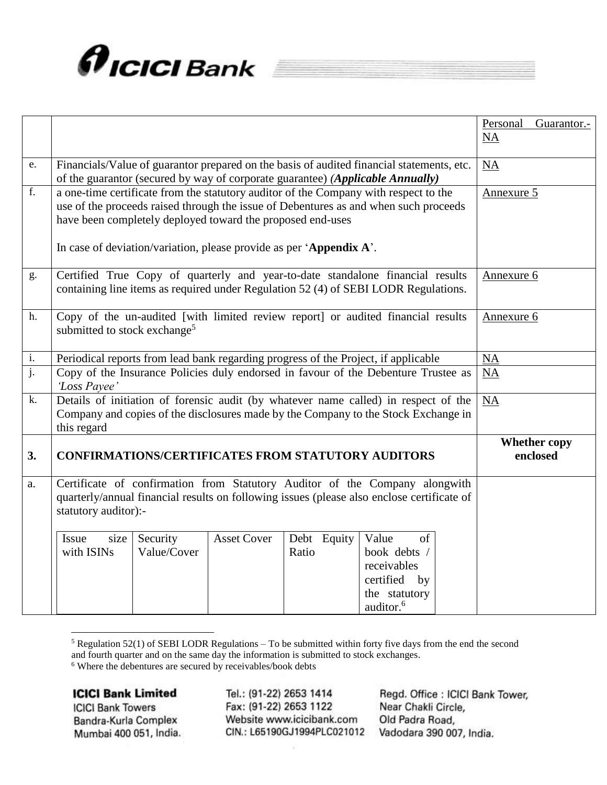

|                           |                                                                                                                                                                                                                                                                                                                   | Personal<br>Guarantor.-<br><b>NA</b> |
|---------------------------|-------------------------------------------------------------------------------------------------------------------------------------------------------------------------------------------------------------------------------------------------------------------------------------------------------------------|--------------------------------------|
| e.                        | Financials/Value of guarantor prepared on the basis of audited financial statements, etc.<br>of the guarantor (secured by way of corporate guarantee) (Applicable Annually)                                                                                                                                       | NA                                   |
| f.                        | a one-time certificate from the statutory auditor of the Company with respect to the<br>use of the proceeds raised through the issue of Debentures as and when such proceeds<br>have been completely deployed toward the proposed end-uses<br>In case of deviation/variation, please provide as per 'Appendix A'. | Annexure 5                           |
| g.                        | Certified True Copy of quarterly and year-to-date standalone financial results<br>containing line items as required under Regulation 52 (4) of SEBI LODR Regulations.                                                                                                                                             | Annexure 6                           |
| h.                        | Copy of the un-audited [with limited review report] or audited financial results<br>submitted to stock exchange <sup>5</sup>                                                                                                                                                                                      | Annexure 6                           |
| i.                        | Periodical reports from lead bank regarding progress of the Project, if applicable                                                                                                                                                                                                                                | NA                                   |
| $\overline{\mathbf{j}}$ . | Copy of the Insurance Policies duly endorsed in favour of the Debenture Trustee as<br>'Loss Payee'                                                                                                                                                                                                                | NA                                   |
| k.                        | Details of initiation of forensic audit (by whatever name called) in respect of the<br>Company and copies of the disclosures made by the Company to the Stock Exchange in<br>this regard                                                                                                                          | <b>NA</b>                            |
| 3.                        | <b>CONFIRMATIONS/CERTIFICATES FROM STATUTORY AUDITORS</b>                                                                                                                                                                                                                                                         | <b>Whether copy</b><br>enclosed      |
| a.                        | Certificate of confirmation from Statutory Auditor of the Company alongwith<br>quarterly/annual financial results on following issues (please also enclose certificate of<br>statutory auditor):-                                                                                                                 |                                      |
|                           | <b>Asset Cover</b><br>Debt Equity<br>Value<br><b>Issue</b><br>size<br>Security<br>of<br>with ISINs<br>Value/Cover<br>book debts /<br>Ratio<br>receivables<br>certified by<br>the statutory<br>auditor. <sup>6</sup>                                                                                               |                                      |

<sup>5</sup> Regulation 52(1) of SEBI LODR Regulations – To be submitted within forty five days from the end the second and fourth quarter and on the same day the information is submitted to stock exchanges.

<sup>6</sup> Where the debentures are secured by receivables/book debts

### **ICICI Bank Limited**

 $\overline{a}$ 

**ICICI Bank Towers** Bandra-Kurla Complex Mumbai 400 051, India.

Tel.: (91-22) 2653 1414 Fax: (91-22) 2653 1122 Website www.icicibank.com CIN.: L65190GJ1994PLC021012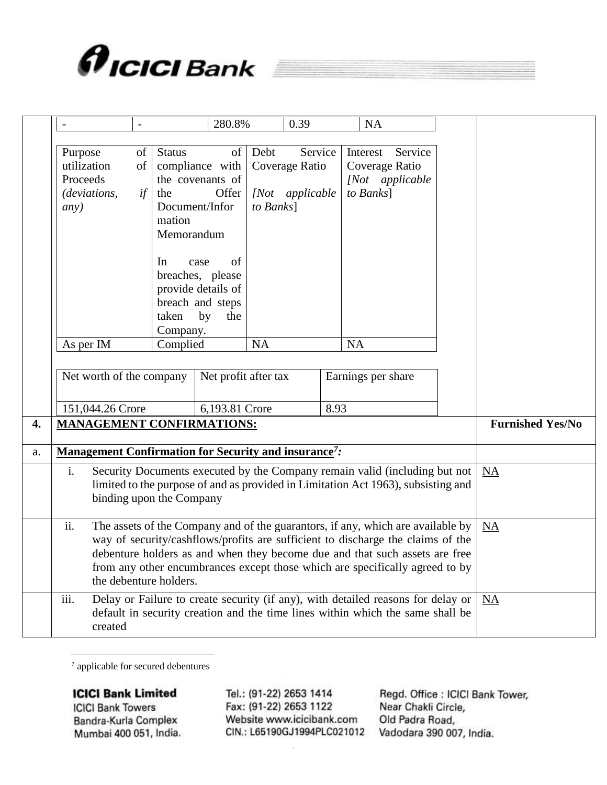

| $\overline{\phantom{a}}$                                                                                                                                                                          | $\overline{\phantom{0}}$ |                                                                                                                                                                                                                                                                                                                                   | 280.8%                                                                                                                                           |                   | 0.39                                          |           | <b>NA</b>                               |                            |                         |
|---------------------------------------------------------------------------------------------------------------------------------------------------------------------------------------------------|--------------------------|-----------------------------------------------------------------------------------------------------------------------------------------------------------------------------------------------------------------------------------------------------------------------------------------------------------------------------------|--------------------------------------------------------------------------------------------------------------------------------------------------|-------------------|-----------------------------------------------|-----------|-----------------------------------------|----------------------------|-------------------------|
| Purpose<br>utilization<br>Proceeds<br>(deviations,<br>any)                                                                                                                                        | $\sigma$<br>of<br>if     | <b>Status</b><br>the<br>mation<br>Memorandum<br>In<br>taken                                                                                                                                                                                                                                                                       | of<br>compliance with<br>the covenants of<br>Offer<br>Document/Infor<br>case<br>of<br>breaches, please<br>provide details of<br>breach and steps | Debt<br>to Banks] | Service<br>Coverage Ratio<br>[Not applicable] |           | Interest<br>Coverage Ratio<br>to Banks] | Service<br>[Not applicable |                         |
| As per IM                                                                                                                                                                                         |                          | Company.<br>Complied                                                                                                                                                                                                                                                                                                              | by<br>the                                                                                                                                        | NA                |                                               |           | <b>NA</b>                               |                            |                         |
| Net worth of the company                                                                                                                                                                          |                          |                                                                                                                                                                                                                                                                                                                                   | Net profit after tax                                                                                                                             |                   |                                               |           | Earnings per share                      |                            |                         |
| 151,044.26 Crore                                                                                                                                                                                  |                          |                                                                                                                                                                                                                                                                                                                                   | 6,193.81 Crore                                                                                                                                   | 8.93              |                                               |           |                                         |                            |                         |
| <b>MANAGEMENT CONFIRMATIONS:</b>                                                                                                                                                                  |                          |                                                                                                                                                                                                                                                                                                                                   |                                                                                                                                                  |                   |                                               |           |                                         |                            | <b>Furnished Yes/No</b> |
| <b>Management Confirmation for Security and insurance<sup>7</sup>:</b>                                                                                                                            |                          |                                                                                                                                                                                                                                                                                                                                   |                                                                                                                                                  |                   |                                               |           |                                         |                            |                         |
| i.<br>Security Documents executed by the Company remain valid (including but not<br>limited to the purpose of and as provided in Limitation Act 1963), subsisting and<br>binding upon the Company |                          |                                                                                                                                                                                                                                                                                                                                   |                                                                                                                                                  |                   |                                               |           |                                         | <b>NA</b>                  |                         |
| ii.<br>the debenture holders.                                                                                                                                                                     |                          | The assets of the Company and of the guarantors, if any, which are available by<br>way of security/cashflows/profits are sufficient to discharge the claims of the<br>debenture holders as and when they become due and that such assets are free<br>from any other encumbrances except those which are specifically agreed to by |                                                                                                                                                  |                   |                                               | <b>NA</b> |                                         |                            |                         |
| iii.<br>created                                                                                                                                                                                   |                          | Delay or Failure to create security (if any), with detailed reasons for delay or<br>default in security creation and the time lines within which the same shall be                                                                                                                                                                | <b>NA</b>                                                                                                                                        |                   |                                               |           |                                         |                            |                         |

 $7$  applicable for secured debentures

**ICICI Bank Limited** 

**ICICI Bank Towers** Bandra-Kurla Complex Mumbai 400 051, India.

Tel.: (91-22) 2653 1414 Fax: (91-22) 2653 1122 Website www.icicibank.com CIN.: L65190GJ1994PLC021012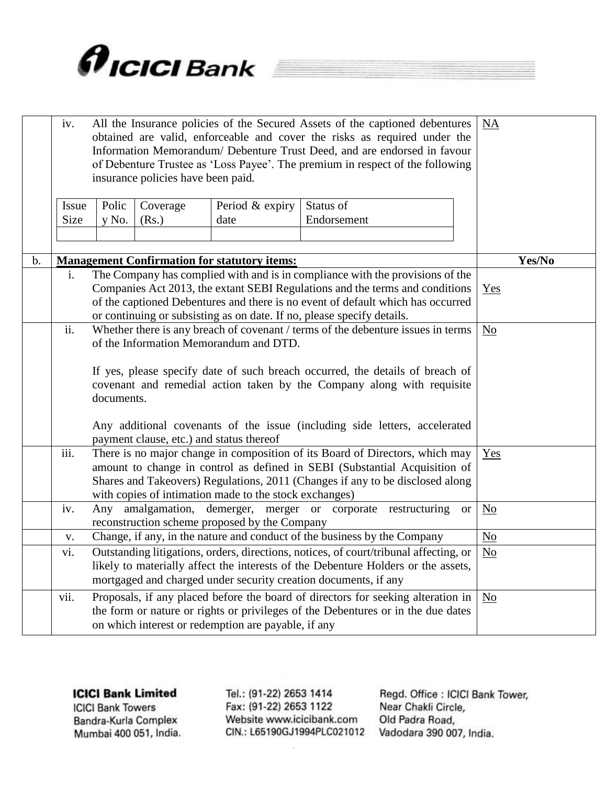

|               | iv.                  |                                                                        | insurance policies have been paid.                                                                                                                                                                                                               |                                                        | All the Insurance policies of the Secured Assets of the captioned debentures<br>obtained are valid, enforceable and cover the risks as required under the<br>Information Memorandum/ Debenture Trust Deed, and are endorsed in favour<br>of Debenture Trustee as 'Loss Payee'. The premium in respect of the following |           | <b>NA</b>              |        |
|---------------|----------------------|------------------------------------------------------------------------|--------------------------------------------------------------------------------------------------------------------------------------------------------------------------------------------------------------------------------------------------|--------------------------------------------------------|------------------------------------------------------------------------------------------------------------------------------------------------------------------------------------------------------------------------------------------------------------------------------------------------------------------------|-----------|------------------------|--------|
|               |                      |                                                                        |                                                                                                                                                                                                                                                  |                                                        |                                                                                                                                                                                                                                                                                                                        |           |                        |        |
|               | <b>Issue</b><br>Size | Polic<br>y No.                                                         | Coverage<br>(Rs.)                                                                                                                                                                                                                                | Period & expiry<br>date                                | Status of<br>Endorsement                                                                                                                                                                                                                                                                                               |           |                        |        |
|               |                      |                                                                        |                                                                                                                                                                                                                                                  |                                                        |                                                                                                                                                                                                                                                                                                                        |           |                        |        |
|               |                      |                                                                        |                                                                                                                                                                                                                                                  |                                                        |                                                                                                                                                                                                                                                                                                                        |           |                        |        |
| $\mathbf b$ . |                      |                                                                        |                                                                                                                                                                                                                                                  | <b>Management Confirmation for statutory items:</b>    |                                                                                                                                                                                                                                                                                                                        |           |                        | Yes/No |
|               | $\mathbf{i}$ .       | or continuing or subsisting as on date. If no, please specify details. | The Company has complied with and is in compliance with the provisions of the<br>Companies Act 2013, the extant SEBI Regulations and the terms and conditions<br>of the captioned Debentures and there is no event of default which has occurred | Yes                                                    |                                                                                                                                                                                                                                                                                                                        |           |                        |        |
|               | ii.                  |                                                                        | Whether there is any breach of covenant / terms of the debenture issues in terms<br>of the Information Memorandum and DTD.                                                                                                                       |                                                        | $\overline{\text{No}}$                                                                                                                                                                                                                                                                                                 |           |                        |        |
|               |                      | documents.                                                             |                                                                                                                                                                                                                                                  |                                                        | If yes, please specify date of such breach occurred, the details of breach of<br>covenant and remedial action taken by the Company along with requisite                                                                                                                                                                |           |                        |        |
|               |                      |                                                                        | payment clause, etc.) and status thereof                                                                                                                                                                                                         |                                                        | Any additional covenants of the issue (including side letters, accelerated                                                                                                                                                                                                                                             |           |                        |        |
|               | iii.                 |                                                                        |                                                                                                                                                                                                                                                  | with copies of intimation made to the stock exchanges) | There is no major change in composition of its Board of Directors, which may<br>amount to change in control as defined in SEBI (Substantial Acquisition of<br>Shares and Takeovers) Regulations, 2011 (Changes if any to be disclosed along                                                                            |           | Yes                    |        |
|               | iv.                  |                                                                        |                                                                                                                                                                                                                                                  | reconstruction scheme proposed by the Company          | Any amalgamation, demerger, merger or corporate restructuring                                                                                                                                                                                                                                                          | <b>or</b> | $\overline{\text{No}}$ |        |
|               | V.                   |                                                                        |                                                                                                                                                                                                                                                  |                                                        | Change, if any, in the nature and conduct of the business by the Company                                                                                                                                                                                                                                               |           | No                     |        |
|               | vi.                  |                                                                        | Outstanding litigations, orders, directions, notices, of court/tribunal affecting, or<br>likely to materially affect the interests of the Debenture Holders or the assets,<br>mortgaged and charged under security creation documents, if any    |                                                        | $N_{0}$                                                                                                                                                                                                                                                                                                                |           |                        |        |
|               | vii.                 |                                                                        |                                                                                                                                                                                                                                                  | on which interest or redemption are payable, if any    | Proposals, if any placed before the board of directors for seeking alteration in<br>the form or nature or rights or privileges of the Debentures or in the due dates                                                                                                                                                   |           | No                     |        |
|               |                      |                                                                        |                                                                                                                                                                                                                                                  |                                                        |                                                                                                                                                                                                                                                                                                                        |           |                        |        |

**ICICI Bank Towers** Bandra-Kurla Complex Mumbai 400 051, India. Tel.: (91-22) 2653 1414 Fax: (91-22) 2653 1122 Website www.icicibank.com CIN.: L65190GJ1994PLC021012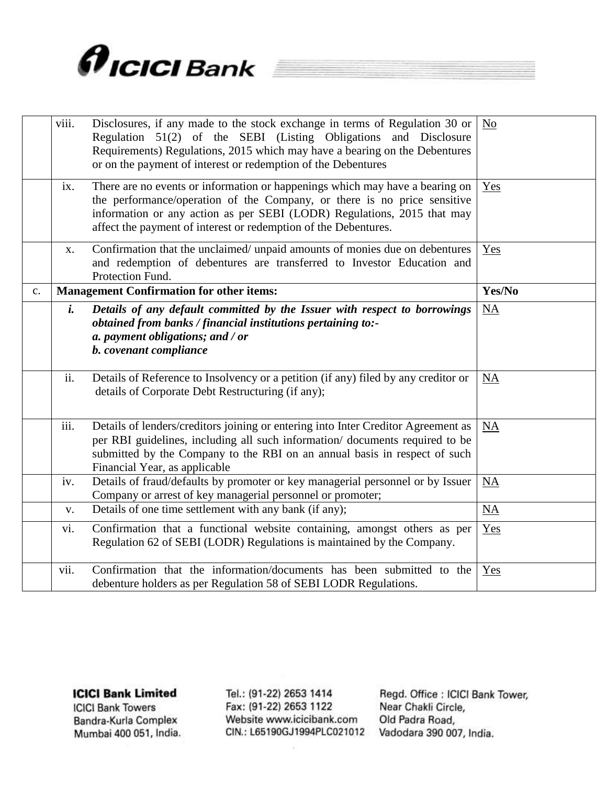

|                | viii. | Disclosures, if any made to the stock exchange in terms of Regulation 30 or<br>Regulation 51(2) of the SEBI (Listing Obligations and Disclosure<br>Requirements) Regulations, 2015 which may have a bearing on the Debentures<br>or on the payment of interest or redemption of the Debentures         | No                     |
|----------------|-------|--------------------------------------------------------------------------------------------------------------------------------------------------------------------------------------------------------------------------------------------------------------------------------------------------------|------------------------|
|                | ix.   | There are no events or information or happenings which may have a bearing on<br>the performance/operation of the Company, or there is no price sensitive<br>information or any action as per SEBI (LODR) Regulations, 2015 that may<br>affect the payment of interest or redemption of the Debentures. | Yes                    |
|                | X.    | Confirmation that the unclaimed/ unpaid amounts of monies due on debentures<br>and redemption of debentures are transferred to Investor Education and<br>Protection Fund.                                                                                                                              | Yes                    |
| $\mathbf{c}$ . |       | <b>Management Confirmation for other items:</b>                                                                                                                                                                                                                                                        | Yes/No                 |
|                | i.    | Details of any default committed by the Issuer with respect to borrowings<br>obtained from banks / financial institutions pertaining to:-<br>a. payment obligations; and / or<br>b. covenant compliance                                                                                                | NA                     |
|                | ii.   | Details of Reference to Insolvency or a petition (if any) filed by any creditor or<br>details of Corporate Debt Restructuring (if any);                                                                                                                                                                | NA                     |
|                | iii.  | Details of lenders/creditors joining or entering into Inter Creditor Agreement as<br>per RBI guidelines, including all such information/documents required to be<br>submitted by the Company to the RBI on an annual basis in respect of such<br>Financial Year, as applicable                         | <b>NA</b>              |
|                | iv.   | Details of fraud/defaults by promoter or key managerial personnel or by Issuer<br>Company or arrest of key managerial personnel or promoter;                                                                                                                                                           | NA                     |
|                | V.    | Details of one time settlement with any bank (if any);                                                                                                                                                                                                                                                 | $\overline{\text{NA}}$ |
|                | vi.   | Confirmation that a functional website containing, amongst others as per<br>Regulation 62 of SEBI (LODR) Regulations is maintained by the Company.                                                                                                                                                     | Yes                    |
|                | vii.  | Confirmation that the information/documents has been submitted to the<br>debenture holders as per Regulation 58 of SEBI LODR Regulations.                                                                                                                                                              | Yes                    |

**ICICI Bank Towers** Bandra-Kurla Complex Mumbai 400 051, India. Tel.: (91-22) 2653 1414 Fax: (91-22) 2653 1122 Website www.icicibank.com CIN.: L65190GJ1994PLC021012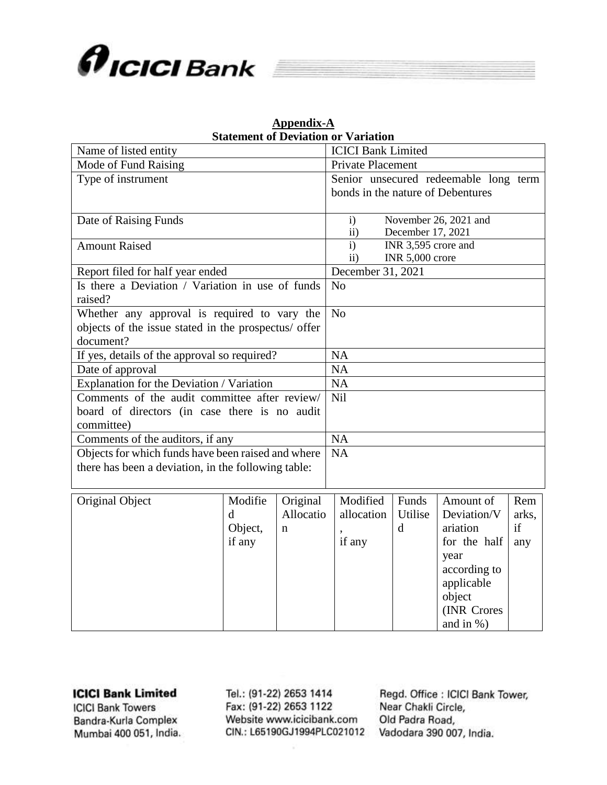

|                                                      | <b>Statement of Deviation or Variation</b> |          |                                |                   |                        |                                       |  |     |  |
|------------------------------------------------------|--------------------------------------------|----------|--------------------------------|-------------------|------------------------|---------------------------------------|--|-----|--|
| Name of listed entity                                |                                            |          | <b>ICICI Bank Limited</b>      |                   |                        |                                       |  |     |  |
| Mode of Fund Raising                                 |                                            |          |                                | Private Placement |                        |                                       |  |     |  |
| Type of instrument                                   |                                            |          |                                |                   |                        | Senior unsecured redeemable long term |  |     |  |
|                                                      |                                            |          |                                |                   |                        | bonds in the nature of Debentures     |  |     |  |
|                                                      |                                            |          |                                |                   |                        |                                       |  |     |  |
| Date of Raising Funds                                |                                            |          | $\mathbf{i}$                   |                   |                        | November 26, 2021 and                 |  |     |  |
|                                                      |                                            |          | December 17, 2021<br>$\rm ii)$ |                   |                        |                                       |  |     |  |
| <b>Amount Raised</b>                                 |                                            |          | $\mathbf{i}$                   |                   |                        | INR 3,595 crore and                   |  |     |  |
|                                                      |                                            |          | $\rm ii)$                      |                   | <b>INR 5,000 crore</b> |                                       |  |     |  |
| Report filed for half year ended                     |                                            |          |                                | December 31, 2021 |                        |                                       |  |     |  |
| Is there a Deviation / Variation in use of funds     |                                            |          | N <sub>o</sub>                 |                   |                        |                                       |  |     |  |
| raised?                                              |                                            |          |                                |                   |                        |                                       |  |     |  |
| Whether any approval is required to vary the         |                                            |          | N <sub>o</sub>                 |                   |                        |                                       |  |     |  |
| objects of the issue stated in the prospectus/ offer |                                            |          |                                |                   |                        |                                       |  |     |  |
| document?                                            |                                            |          |                                |                   |                        |                                       |  |     |  |
| If yes, details of the approval so required?         |                                            |          | <b>NA</b>                      |                   |                        |                                       |  |     |  |
| Date of approval                                     |                                            |          | <b>NA</b>                      |                   |                        |                                       |  |     |  |
| Explanation for the Deviation / Variation            |                                            |          | <b>NA</b>                      |                   |                        |                                       |  |     |  |
| Comments of the audit committee after review/        |                                            |          | <b>Nil</b>                     |                   |                        |                                       |  |     |  |
| board of directors (in case there is no audit        |                                            |          |                                |                   |                        |                                       |  |     |  |
| committee)                                           |                                            |          |                                |                   |                        |                                       |  |     |  |
| Comments of the auditors, if any                     |                                            |          | <b>NA</b>                      |                   |                        |                                       |  |     |  |
| Objects for which funds have been raised and where   |                                            |          | <b>NA</b>                      |                   |                        |                                       |  |     |  |
| there has been a deviation, in the following table:  |                                            |          |                                |                   |                        |                                       |  |     |  |
|                                                      |                                            |          |                                |                   |                        |                                       |  |     |  |
| Original Object                                      | Modifie                                    | Original |                                | Modified          | Funds                  | Amount of                             |  | Rem |  |

# **Appendix-A**

| Original Object | Modifie | Original  | Modified   | Funds   | Amount of    | Rem   |
|-----------------|---------|-----------|------------|---------|--------------|-------|
|                 | d       | Allocatio | allocation | Utilise | Deviation/V  | arks, |
|                 | Object, | n         |            | d       | ariation     | if    |
|                 | if any  |           | if any     |         | for the half | any   |
|                 |         |           |            |         | year         |       |
|                 |         |           |            |         | according to |       |
|                 |         |           |            |         | applicable   |       |
|                 |         |           |            |         | object       |       |
|                 |         |           |            |         | (INR Crores  |       |
|                 |         |           |            |         | and in $%$ ) |       |

#### **ICICI Bank Limited**

**ICICI Bank Towers** Bandra-Kurla Complex Mumbai 400 051, India. Tel.: (91-22) 2653 1414 Fax: (91-22) 2653 1122 Website www.icicibank.com CIN.: L65190GJ1994PLC021012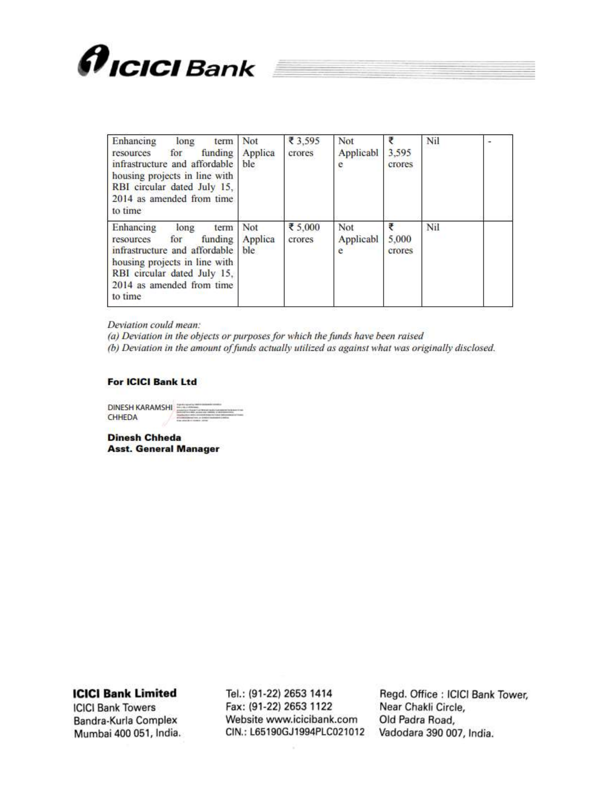

| Enhancing<br>long<br>term<br>funding<br>for<br>resources<br>infrastructure and affordable<br>housing projects in line with<br>RBI circular dated July 15,<br>2014 as amended from time<br>to time | Not<br>Applica<br>ble  | ₹ 3,595<br>crores | Not<br>Applicabl<br>e | ₹<br>3,595<br>crores | Nil |  |
|---------------------------------------------------------------------------------------------------------------------------------------------------------------------------------------------------|------------------------|-------------------|-----------------------|----------------------|-----|--|
| Enhancing<br>long<br>term<br>funding<br>for<br>resources<br>infrastructure and affordable<br>housing projects in line with<br>RBI circular dated July 15,<br>2014 as amended from time<br>to time | Not<br>Applica<br>ble. | ₹ 5,000<br>crores | Not<br>Applicabl<br>e | ₹<br>5,000<br>crores | Nil |  |

Deviation could mean:

(a) Deviation in the objects or purposes for which the funds have been raised

(b) Deviation in the amount of funds actually utilized as against what was originally disclosed.

#### **For ICICI Bank Ltd**

DINESH KARAMSHI CHHEDA

**Dinesh Chheda Asst. General Manager** 

**ICICI Bank Limited** 

**ICICI Bank Towers** Bandra-Kurla Complex Mumbai 400 051, India.

Tel.: (91-22) 2653 1414 Fax: (91-22) 2653 1122 Website www.icicibank.com CIN.: L65190GJ1994PLC021012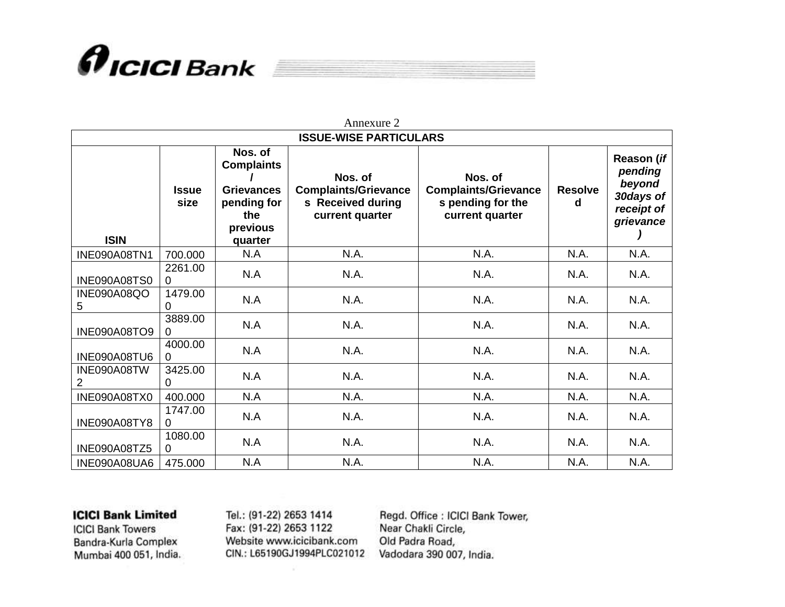

|                  |                      |                                                                                                | Annexure 2                                                                     |                                                                                |                     |                                                                         |
|------------------|----------------------|------------------------------------------------------------------------------------------------|--------------------------------------------------------------------------------|--------------------------------------------------------------------------------|---------------------|-------------------------------------------------------------------------|
|                  |                      |                                                                                                | <b>ISSUE-WISE PARTICULARS</b>                                                  |                                                                                |                     |                                                                         |
| <b>ISIN</b>      | <b>Issue</b><br>size | Nos. of<br><b>Complaints</b><br><b>Grievances</b><br>pending for<br>the<br>previous<br>quarter | Nos. of<br><b>Complaints/Grievance</b><br>s Received during<br>current quarter | Nos. of<br><b>Complaints/Grievance</b><br>s pending for the<br>current quarter | <b>Resolve</b><br>d | Reason (if<br>pending<br>beyond<br>30days of<br>receipt of<br>grievance |
| INE090A08TN1     | 700.000              | N.A                                                                                            | N.A.                                                                           | N.A.                                                                           | N.A.                | N.A.                                                                    |
| INE090A08TS0     | 2261.00<br>0         | N.A                                                                                            | N.A.                                                                           | N.A.                                                                           | N.A.                | N.A.                                                                    |
| INE090A08QO<br>5 | 1479.00<br>0         | N.A                                                                                            | N.A.                                                                           | N.A.                                                                           | N.A.                | N.A.                                                                    |
| INE090A08TO9     | 3889.00<br>0         | N.A                                                                                            | N.A.                                                                           | N.A.                                                                           | N.A.                | N.A.                                                                    |
| INE090A08TU6     | 4000.00<br>0         | N.A                                                                                            | N.A.                                                                           | N.A.                                                                           | N.A.                | N.A.                                                                    |
| INE090A08TW<br>2 | 3425.00<br>0         | N.A                                                                                            | N.A.                                                                           | N.A.                                                                           | N.A.                | N.A.                                                                    |
| INE090A08TX0     | 400.000              | N.A                                                                                            | N.A.                                                                           | N.A.                                                                           | N.A.                | N.A.                                                                    |
| INE090A08TY8     | 1747.00<br>0         | N.A                                                                                            | N.A.                                                                           | N.A.                                                                           | N.A.                | N.A.                                                                    |
| INE090A08TZ5     | 1080.00<br>0         | N.A                                                                                            | N.A.                                                                           | N.A.                                                                           | N.A.                | N.A.                                                                    |
| INE090A08UA6     | 475.000              | N.A                                                                                            | N.A.                                                                           | N.A.                                                                           | N.A.                | N.A.                                                                    |

**ICICI Bank Towers** Bandra-Kurla Complex Mumbai 400 051, India. Tel.: (91-22) 2653 1414 Fax: (91-22) 2653 1122 Website www.icicibank.com CIN.: L65190GJ1994PLC021012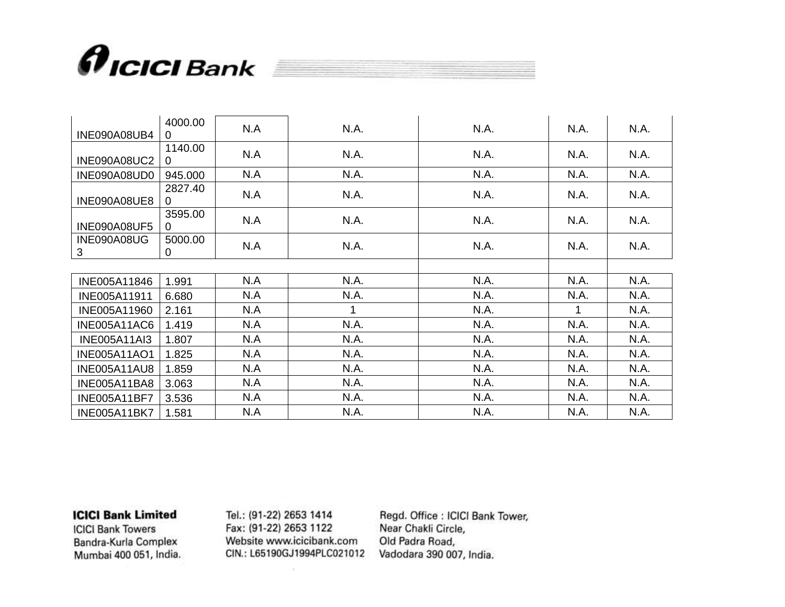

| INE090A08UB4        | 4000.00<br>0        | N.A | N.A. | N.A. | N.A. | N.A. |
|---------------------|---------------------|-----|------|------|------|------|
| <b>INE090A08UC2</b> | 1140.00<br>0        | N.A | N.A. | N.A. | N.A. | N.A. |
| INE090A08UD0        | 945.000             | N.A | N.A. | N.A. | N.A. | N.A. |
| INE090A08UE8        | 2827.40<br>$\Omega$ | N.A | N.A. | N.A. | N.A. | N.A. |
| <b>INE090A08UF5</b> | 3595.00<br>0        | N.A | N.A. | N.A. | N.A. | N.A. |
| INE090A08UG<br>3    | 5000.00<br>0        | N.A | N.A. | N.A. | N.A. | N.A. |
|                     |                     |     |      |      |      |      |
| INE005A11846        | 1.991               | N.A | N.A. | N.A. | N.A. | N.A. |
| INE005A11911        | 6.680               | N.A | N.A. | N.A. | N.A. | N.A. |
| INE005A11960        | 2.161               | N.A | 1    | N.A. | 1    | N.A. |
| <b>INE005A11AC6</b> | 1.419               | N.A | N.A. | N.A. | N.A. | N.A. |
| <b>INE005A11AI3</b> | 1.807               | N.A | N.A. | N.A. | N.A. | N.A. |
| <b>INE005A11AO1</b> | 1.825               | N.A | N.A. | N.A. | N.A. | N.A. |
| <b>INE005A11AU8</b> | 1.859               | N.A | N.A. | N.A. | N.A. | N.A. |
| <b>INE005A11BA8</b> | 3.063               | N.A | N.A. | N.A. | N.A. | N.A. |
| <b>INE005A11BF7</b> | 3.536               | N.A | N.A. | N.A. | N.A. | N.A. |
| <b>INE005A11BK7</b> | 1.581               | N.A | N.A. | N.A. | N.A. | N.A. |

**ICICI Bank Towers** Bandra-Kurla Complex Mumbai 400 051, India. Tel.: (91-22) 2653 1414 Fax: (91-22) 2653 1122 Website www.icicibank.com CIN.: L65190GJ1994PLC021012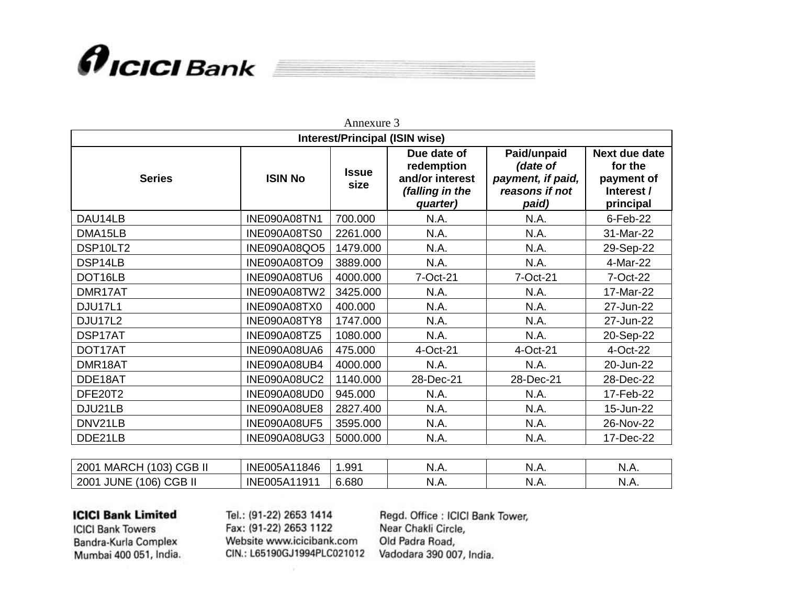

| Annexure 3                            |                     |                      |                                                                             |                                                                         |                                                                   |  |
|---------------------------------------|---------------------|----------------------|-----------------------------------------------------------------------------|-------------------------------------------------------------------------|-------------------------------------------------------------------|--|
| <b>Interest/Principal (ISIN wise)</b> |                     |                      |                                                                             |                                                                         |                                                                   |  |
| <b>ISIN No</b><br><b>Series</b>       |                     | <b>Issue</b><br>size | Due date of<br>redemption<br>and/or interest<br>(falling in the<br>quarter) | Paid/unpaid<br>(date of<br>payment, if paid,<br>reasons if not<br>paid) | Next due date<br>for the<br>payment of<br>Interest /<br>principal |  |
| DAU14LB                               | INE090A08TN1        | 700.000              | N.A.                                                                        | N.A.                                                                    | 6-Feb-22                                                          |  |
| DMA15LB                               | INE090A08TS0        | 2261.000             | N.A.                                                                        | N.A.                                                                    | 31-Mar-22                                                         |  |
| DSP10LT2                              | <b>INE090A08QO5</b> | 1479.000             | N.A.                                                                        | N.A.                                                                    | 29-Sep-22                                                         |  |
| DSP14LB                               | <b>INE090A08TO9</b> | 3889.000             | N.A.                                                                        | N.A.                                                                    | 4-Mar-22                                                          |  |
| DOT16LB                               | INE090A08TU6        | 4000.000             | 7-Oct-21                                                                    | 7-Oct-21                                                                | 7-Oct-22                                                          |  |
| DMR17AT                               | <b>INE090A08TW2</b> | 3425.000             | N.A.                                                                        | N.A.                                                                    | 17-Mar-22                                                         |  |
| DJU17L1                               | INE090A08TX0        | 400.000              | N.A.                                                                        | N.A.                                                                    | 27-Jun-22                                                         |  |
| DJU17L2                               | INE090A08TY8        | 1747.000             | N.A.                                                                        | N.A.                                                                    | 27-Jun-22                                                         |  |
| DSP17AT                               | INE090A08TZ5        | 1080.000             | N.A.                                                                        | N.A.                                                                    | 20-Sep-22                                                         |  |
| DOT17AT                               | INE090A08UA6        | 475.000              | 4-Oct-21                                                                    | 4-Oct-21                                                                | 4-Oct-22                                                          |  |
| DMR18AT                               | INE090A08UB4        | 4000.000             | N.A.                                                                        | N.A.                                                                    | 20-Jun-22                                                         |  |
| DDE18AT                               | <b>INE090A08UC2</b> | 1140.000             | 28-Dec-21                                                                   | 28-Dec-21                                                               | 28-Dec-22                                                         |  |
| DFE20T2                               | INE090A08UD0        | 945.000              | N.A.                                                                        | N.A.                                                                    | 17-Feb-22                                                         |  |
| DJU21LB                               | <b>INE090A08UE8</b> | 2827.400             | N.A.                                                                        | N.A.                                                                    | 15-Jun-22                                                         |  |
| DNV21LB                               | <b>INE090A08UF5</b> | 3595.000             | N.A.                                                                        | N.A.                                                                    | 26-Nov-22                                                         |  |
| DDE21LB                               | <b>INE090A08UG3</b> | 5000.000             | N.A.                                                                        | N.A.                                                                    | 17-Dec-22                                                         |  |

| $\cap$ $\cap$ $\cap$<br>, MARC'<br>$\sqrt{2}$<br>200<br>طف√<br>vJ | INE<br>1846<br>005A1 | .99 <sup>′</sup> | N.A.       | N.A.  | N<br>ง.៸¬.  |
|-------------------------------------------------------------------|----------------------|------------------|------------|-------|-------------|
| <b>CGBII</b><br><b>JUNE</b><br>(106)<br>200                       | INE<br>005A1<br>1011 | 6.680            | IV.7<br>¬. | IN.A. | N<br>1./ \. |

**ICICI Bank Towers** Bandra-Kurla Complex Mumbai 400 051, India. Tel.: (91-22) 2653 1414 Fax: (91-22) 2653 1122 Website www.icicibank.com CIN.: L65190GJ1994PLC021012